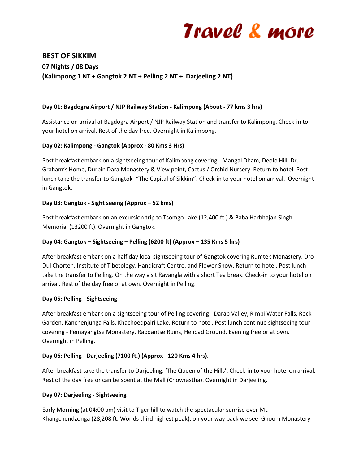

# **BEST OF SIKKIM 07 Nights / 08 Days (Kalimpong 1 NT + Gangtok 2 NT + Pelling 2 NT + Darjeeling 2 NT)**

#### **Day 01: Bagdogra Airport / NJP Railway Station - Kalimpong (About - 77 kms 3 hrs)**

Assistance on arrival at Bagdogra Airport / NJP Railway Station and transfer to Kalimpong. Check-in to your hotel on arrival. Rest of the day free. Overnight in Kalimpong.

#### **Day 02: Kalimpong - Gangtok (Approx - 80 Kms 3 Hrs)**

Post breakfast embark on a sightseeing tour of Kalimpong covering - Mangal Dham, Deolo Hill, Dr. Graham's Home, Durbin Dara Monastery & View point, Cactus / Orchid Nursery. Return to hotel. Post lunch take the transfer to Gangtok- "The Capital of Sikkim". Check-in to your hotel on arrival. Overnight in Gangtok.

#### **Day 03: Gangtok - Sight seeing (Approx – 52 kms)**

Post breakfast embark on an excursion trip to Tsomgo Lake (12,400 ft.) & Baba Harbhajan Singh Memorial (13200 ft). Overnight in Gangtok.

## **Day 04: Gangtok – Sightseeing – Pelling (6200 ft) (Approx – 135 Kms 5 hrs)**

After breakfast embark on a half day local sightseeing tour of Gangtok covering Rumtek Monastery, Dro-Dul Chorten, Institute of Tibetology, Handicraft Centre, and Flower Show. Return to hotel. Post lunch take the transfer to Pelling. On the way visit Ravangla with a short Tea break. Check-in to your hotel on arrival. Rest of the day free or at own. Overnight in Pelling.

#### **Day 05: Pelling - Sightseeing**

After breakfast embark on a sightseeing tour of Pelling covering - Darap Valley, Rimbi Water Falls, Rock Garden, Kanchenjunga Falls, Khachoedpalri Lake. Return to hotel. Post lunch continue sightseeing tour covering - Pemayangtse Monastery, Rabdantse Ruins, Helipad Ground. Evening free or at own. Overnight in Pelling.

## **Day 06: Pelling - Darjeeling (7100 ft.) (Approx - 120 Kms 4 hrs).**

After breakfast take the transfer to Darjeeling. 'The Queen of the Hills'. Check-in to your hotel on arrival. Rest of the day free or can be spent at the Mall (Chowrastha). Overnight in Darjeeling.

#### **Day 07: Darjeeling - Sightseeing**

Early Morning (at 04:00 am) visit to Tiger hill to watch the spectacular sunrise over Mt. Khangchendzonga (28,208 ft. Worlds third highest peak), on your way back we see Ghoom Monastery